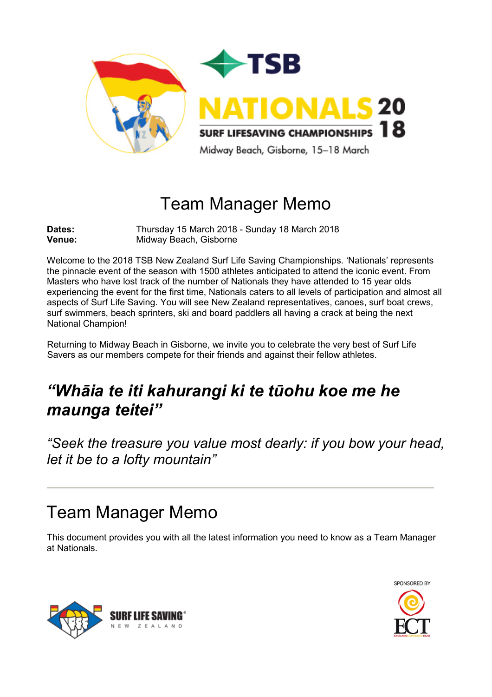

# Team Manager Memo

**Dates:** Thursday 15 March 2018 - Sunday 18 March 2018<br> **Venue:** Midway Beach. Gisborne **Midway Beach, Gisborne** 

Welcome to the 2018 TSB New Zealand Surf Life Saving Championships. 'Nationals' represents the pinnacle event of the season with 1500 athletes anticipated to attend the iconic event. From Masters who have lost track of the number of Nationals they have attended to 15 year olds experiencing the event for the first time, Nationals caters to all levels of participation and almost all aspects of Surf Life Saving. You will see New Zealand representatives, canoes, surf boat crews, surf swimmers, beach sprinters, ski and board paddlers all having a crack at being the next National Champion!

Returning to Midway Beach in Gisborne, we invite you to celebrate the very best of Surf Life Savers as our members compete for their friends and against their fellow athletes.

# *"Whāia te iti kahurangi ki te tūohu koe me he maunga teitei"*

*"Seek the treasure you value most dearly: if you bow your head, let it be to a lofty mountain"*

# Team Manager Memo

This document provides you with all the latest information you need to know as a Team Manager at Nationals.



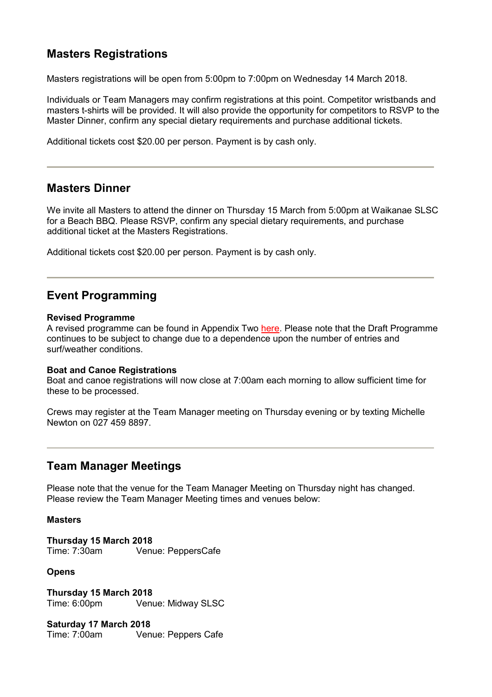## **Masters Registrations**

Masters registrations will be open from 5:00pm to 7:00pm on Wednesday 14 March 2018.

Individuals or Team Managers may confirm registrations at this point. Competitor wristbands and masters t-shirts will be provided. It will also provide the opportunity for competitors to RSVP to the Master Dinner, confirm any special dietary requirements and purchase additional tickets.

Additional tickets cost \$20.00 per person. Payment is by cash only.

### **Masters Dinner**

We invite all Masters to attend the dinner on Thursday 15 March from 5:00pm at Waikanae SLSC for a Beach BBQ. Please RSVP, confirm any special dietary requirements, and purchase additional ticket at the Masters Registrations.

Additional tickets cost \$20.00 per person. Payment is by cash only.

### **Event Programming**

#### **Revised Programme**

A revised programme can be found in Appendix Two [here.](http://www.surflifesaving.org.nz/calendar/2018/march/tsb-new-zealand-surf-life-saving-championships-(nationals)/) Please note that the Draft Programme continues to be subject to change due to a dependence upon the number of entries and surf/weather conditions.

#### **Boat and Canoe Registrations**

Boat and canoe registrations will now close at 7:00am each morning to allow sufficient time for these to be processed.

Crews may register at the Team Manager meeting on Thursday evening or by texting Michelle Newton on 027 459 8897.

### **Team Manager Meetings**

Please note that the venue for the Team Manager Meeting on Thursday night has changed. Please review the Team Manager Meeting times and venues below:

#### **Masters**

**Thursday 15 March 2018** Venue: PeppersCafe

#### **Opens**

**Thursday 15 March 2018** Venue: Midway SLSC

**Saturday 17 March 2018** Venue: Peppers Cafe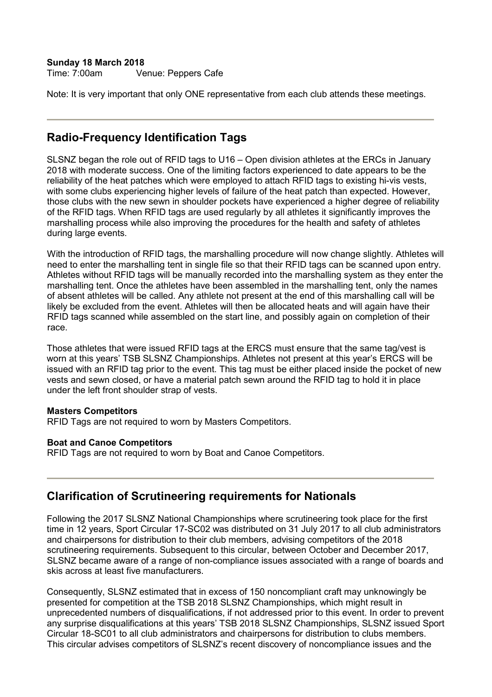## **Sunday 18 March 2018**

Venue: Peppers Cafe

Note: It is very important that only ONE representative from each club attends these meetings.

## **Radio-Frequency Identification Tags**

SLSNZ began the role out of RFID tags to U16 – Open division athletes at the ERCs in January 2018 with moderate success. One of the limiting factors experienced to date appears to be the reliability of the heat patches which were employed to attach RFID tags to existing hi-vis vests, with some clubs experiencing higher levels of failure of the heat patch than expected. However, those clubs with the new sewn in shoulder pockets have experienced a higher degree of reliability of the RFID tags. When RFID tags are used regularly by all athletes it significantly improves the marshalling process while also improving the procedures for the health and safety of athletes during large events.

With the introduction of RFID tags, the marshalling procedure will now change slightly. Athletes will need to enter the marshalling tent in single file so that their RFID tags can be scanned upon entry. Athletes without RFID tags will be manually recorded into the marshalling system as they enter the marshalling tent. Once the athletes have been assembled in the marshalling tent, only the names of absent athletes will be called. Any athlete not present at the end of this marshalling call will be likely be excluded from the event. Athletes will then be allocated heats and will again have their RFID tags scanned while assembled on the start line, and possibly again on completion of their race.

Those athletes that were issued RFID tags at the ERCS must ensure that the same tag/vest is worn at this years' TSB SLSNZ Championships. Athletes not present at this year's ERCS will be issued with an RFID tag prior to the event. This tag must be either placed inside the pocket of new vests and sewn closed, or have a material patch sewn around the RFID tag to hold it in place under the left front shoulder strap of vests.

#### **Masters Competitors**

RFID Tags are not required to worn by Masters Competitors.

#### **Boat and Canoe Competitors**

RFID Tags are not required to worn by Boat and Canoe Competitors.

### **Clarification of Scrutineering requirements for Nationals**

Following the 2017 SLSNZ National Championships where scrutineering took place for the first time in 12 years, Sport Circular 17-SC02 was distributed on 31 July 2017 to all club administrators and chairpersons for distribution to their club members, advising competitors of the 2018 scrutineering requirements. Subsequent to this circular, between October and December 2017, SLSNZ became aware of a range of non-compliance issues associated with a range of boards and skis across at least five manufacturers.

Consequently, SLSNZ estimated that in excess of 150 noncompliant craft may unknowingly be presented for competition at the TSB 2018 SLSNZ Championships, which might result in unprecedented numbers of disqualifications, if not addressed prior to this event. In order to prevent any surprise disqualifications at this years' TSB 2018 SLSNZ Championships, SLSNZ issued Sport Circular 18-SC01 to all club administrators and chairpersons for distribution to clubs members. This circular advises competitors of SLSNZ's recent discovery of noncompliance issues and the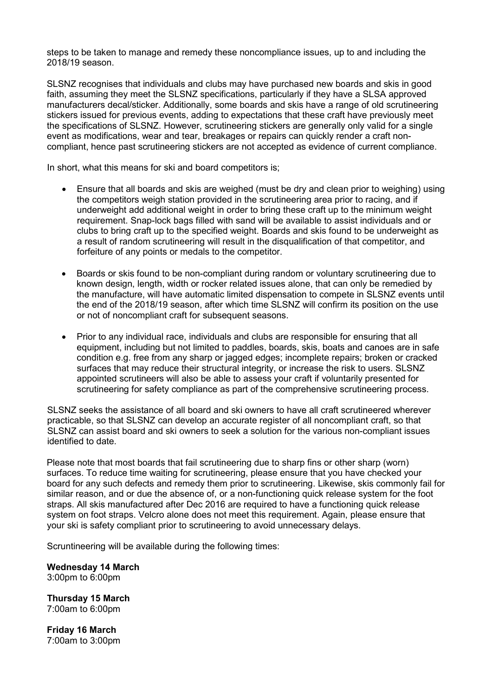steps to be taken to manage and remedy these noncompliance issues, up to and including the 2018/19 season.

SLSNZ recognises that individuals and clubs may have purchased new boards and skis in good faith, assuming they meet the SLSNZ specifications, particularly if they have a SLSA approved manufacturers decal/sticker. Additionally, some boards and skis have a range of old scrutineering stickers issued for previous events, adding to expectations that these craft have previously meet the specifications of SLSNZ. However, scrutineering stickers are generally only valid for a single event as modifications, wear and tear, breakages or repairs can quickly render a craft noncompliant, hence past scrutineering stickers are not accepted as evidence of current compliance.

In short, what this means for ski and board competitors is;

- Ensure that all boards and skis are weighed (must be dry and clean prior to weighing) using the competitors weigh station provided in the scrutineering area prior to racing, and if underweight add additional weight in order to bring these craft up to the minimum weight requirement. Snap-lock bags filled with sand will be available to assist individuals and or clubs to bring craft up to the specified weight. Boards and skis found to be underweight as a result of random scrutineering will result in the disqualification of that competitor, and forfeiture of any points or medals to the competitor.
- Boards or skis found to be non-compliant during random or voluntary scrutineering due to known design, length, width or rocker related issues alone, that can only be remedied by the manufacture, will have automatic limited dispensation to compete in SLSNZ events until the end of the 2018/19 season, after which time SLSNZ will confirm its position on the use or not of noncompliant craft for subsequent seasons.
- Prior to any individual race, individuals and clubs are responsible for ensuring that all equipment, including but not limited to paddles, boards, skis, boats and canoes are in safe condition e.g. free from any sharp or jagged edges; incomplete repairs; broken or cracked surfaces that may reduce their structural integrity, or increase the risk to users. SLSNZ appointed scrutineers will also be able to assess your craft if voluntarily presented for scrutineering for safety compliance as part of the comprehensive scrutineering process.

SLSNZ seeks the assistance of all board and ski owners to have all craft scrutineered wherever practicable, so that SLSNZ can develop an accurate register of all noncompliant craft, so that SLSNZ can assist board and ski owners to seek a solution for the various non-compliant issues identified to date.

Please note that most boards that fail scrutineering due to sharp fins or other sharp (worn) surfaces. To reduce time waiting for scrutineering, please ensure that you have checked your board for any such defects and remedy them prior to scrutineering. Likewise, skis commonly fail for similar reason, and or due the absence of, or a non-functioning quick release system for the foot straps. All skis manufactured after Dec 2016 are required to have a functioning quick release system on foot straps. Velcro alone does not meet this requirement. Again, please ensure that your ski is safety compliant prior to scrutineering to avoid unnecessary delays.

Scruntineering will be available during the following times:

**Wednesday 14 March** 3:00pm to 6:00pm

**Thursday 15 March** 7:00am to 6:00pm

**Friday 16 March** 7:00am to 3:00pm